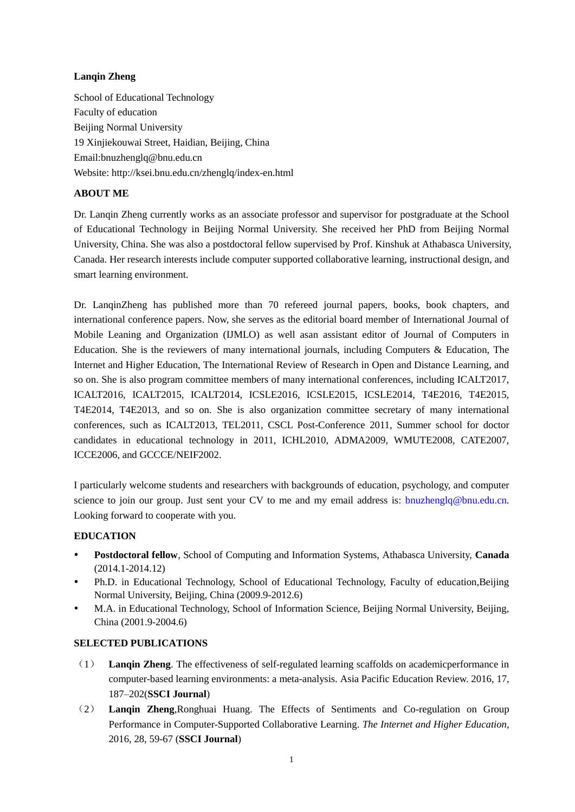## **Lanqin Zheng**

School of Educational Technology Faculty of education Beijing Normal University 19 Xinjiekouwai Street, Haidian, Beijing, China Email:bnuzhenglq@bnu.edu.cn Website: http://ksei.bnu.edu.cn/zhenglq/index-en.html

# **ABOUT ME**

Dr. Lanqin Zheng currently works as an associate professor and supervisor for postgraduate at the School of Educational Technology in Beijing Normal University. She received her PhD from Beijing Normal University, China. She was also a postdoctoral fellow supervised by Prof. Kinshuk at Athabasca University, Canada. Her research interests include computer supported collaborative learning, instructional design, and smart learning environment.

Dr. LanqinZheng has published more than 70 refereed journal papers, books, book chapters, and international conference papers. Now, she serves as the editorial board member of International Journal of Mobile Leaning and Organization (IJMLO) as well asan assistant editor of Journal of Computers in Education. She is the reviewers of many international journals, including Computers  $\&$  Education, The Internet and Higher Education, The International Review of Research in Open and Distance Learning, and so on. She is also program committee members of many international conferences, including ICALT2017, ICALT2016, ICALT2015, ICALT2014, ICSLE2016, ICSLE2015, ICSLE2014, T4E2016, T4E2015, T4E2014, T4E2013, and so on. She is also organization committee secretary of many international conferences, such as ICALT2013, TEL2011, CSCL Post-Conference 2011, Summer school for doctor candidates in educational technology in 2011, ICHL2010, ADMA2009, WMUTE2008, CATE2007, ICCE2006, and GCCCE/NEIF2002.

I particularly welcome students and researchers with backgrounds of education, psychology, and computer science to join our group. Just sent your CV to me and my email address is: [bnuzhenglq@bnu.edu.cn.](mailto:bnuzhenglq@bnu.edu.cn) Looking forward to cooperate with you.

### **EDUCATION**

- **Postdoctoral fellow**, School of Computing and Information Systems, Athabasca University, **Canada** (2014.1-2014.12)
- Ph.D. in Educational Technology, School of Educational Technology, Faculty of education,Beijing Normal University, Beijing, China (2009.9-2012.6)
- M.A. in Educational Technology, School of Information Science, Beijing Normal University, Beijing, China (2001.9-2004.6)

### **SELECTED PUBLICATIONS**

- (1) **Lanqin Zheng**. The effectiveness of self-regulated learning scaffolds on academicperformance in computer-based learning environments: a meta-analysis. Asia Pacific Education Review. 2016, 17, 187–202(**SSCI Journal**)
- (2) **Lanqin Zheng**,Ronghuai Huang. The Effects of Sentiments and Co-regulation on Group Performance in Computer-Supported Collaborative Learning. *The Internet and Higher Education*, 2016, 28, 59-67 (**SSCI Journal**)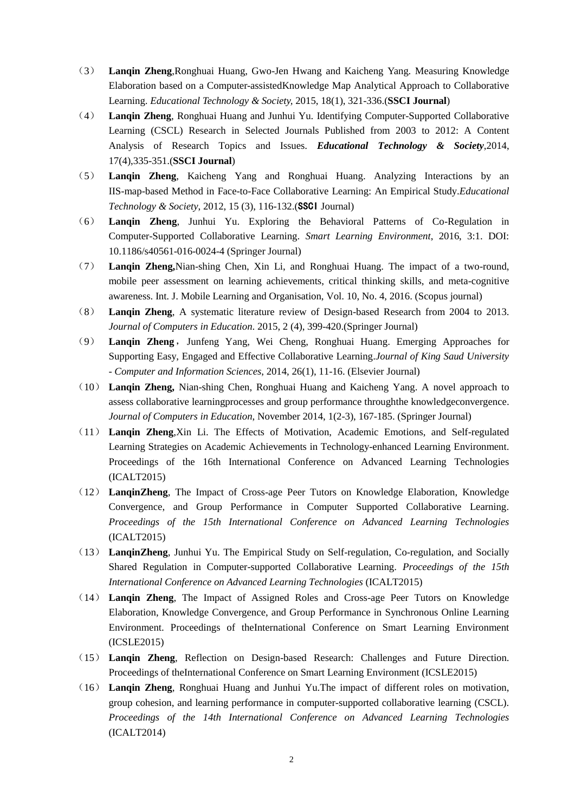- (3) **Lanqin Zheng**,Ronghuai Huang, Gwo-Jen Hwang and Kaicheng Yang. Measuring Knowledge Elaboration based on a Computer-assistedKnowledge Map Analytical Approach to Collaborative Learning. *Educational Technology & Society,* 2015, 18(1), 321-336.(**SSCI Journal**)
- (4) **Lanqin Zheng**, Ronghuai Huang and Junhui Yu. Identifying Computer-Supported Collaborative Learning (CSCL) Research in Selected Journals Published from 2003 to 2012: A Content Analysis of Research Topics and Issues. *Educational Technology & Society*,2014, 17(4),335-351.(**SSCI Journal**)
- (5) **Lanqin Zheng**, Kaicheng Yang and Ronghuai Huang. Analyzing Interactions by an IIS-map-based Method in Face-to-Face Collaborative Learning: An Empirical Study.*Educational Technology & Society*, 2012, 15 (3), 116-132.(SSCI Journal)
- (6) **Lanqin Zheng**, Junhui Yu. Exploring the Behavioral Patterns of Co-Regulation in Computer-Supported Collaborative Learning. *Smart Learning Environment*, 2016, 3:1. DOI: 10.1186/s40561-016-0024-4 (Springer Journal)
- (7) **Lanqin Zheng,**Nian-shing Chen, Xin Li, and Ronghuai Huang. The impact of a two-round, mobile peer assessment on learning achievements, critical thinking skills, and meta-cognitive awareness. Int. J. Mobile Learning and Organisation, Vol. 10, No. 4, 2016. (Scopus journal)
- (8) **Lanqin Zheng**, A systematic literature review of Design-based Research from 2004 to 2013. *Journal of Computers in Education*. 2015, 2 (4), 399-420.(Springer Journal)
- (9) **Lanqin Zheng**,Junfeng Yang, Wei Cheng, Ronghuai Huang. Emerging Approaches for Supporting Easy, Engaged and Effective Collaborative Learning.*Journal of King Saud University - Computer and Information Sciences*, 2014, 26(1), 11-16. (Elsevier Journal)
- (10) **Lanqin Zheng,** Nian-shing Chen, Ronghuai Huang and Kaicheng Yang. A novel approach to assess collaborative learningprocesses and group performance throughthe knowledgeconvergence. *Journal of Computers in Education*, November 2014, 1(2-3), 167-185. (Springer Journal)
- (11) **Lanqin Zheng**,Xin Li. The Effects of Motivation, Academic Emotions, and Self-regulated Learning Strategies on Academic Achievements in Technology-enhanced Learning Environment. Proceedings of the 16th International Conference on Advanced Learning Technologies (ICALT2015)
- (12) **LanqinZheng**, The Impact of Cross-age Peer Tutors on Knowledge Elaboration, Knowledge Convergence, and Group Performance in Computer Supported Collaborative Learning. *Proceedings of the 15th International Conference on Advanced Learning Technologies* (ICALT2015)
- (13) **LanqinZheng**, Junhui Yu. The Empirical Study on Self-regulation, Co-regulation, and Socially Shared Regulation in Computer-supported Collaborative Learning. *Proceedings of the 15th International Conference on Advanced Learning Technologies* (ICALT2015)
- (14) **Lanqin Zheng**, The Impact of Assigned Roles and Cross-age Peer Tutors on Knowledge Elaboration, Knowledge Convergence, and Group Performance in Synchronous Online Learning Environment. Proceedings of theInternational Conference on Smart Learning Environment (ICSLE2015)
- (15) **Lanqin Zheng**, Reflection on Design-based Research: Challenges and Future Direction. Proceedings of theInternational Conference on Smart Learning Environment (ICSLE2015)
- (16) **Lanqin Zheng**, Ronghuai Huang and Junhui Yu.The impact of different roles on motivation, group cohesion, and learning performance in computer-supported collaborative learning (CSCL). *Proceedings of the 14th International Conference on Advanced Learning Technologies* (ICALT2014)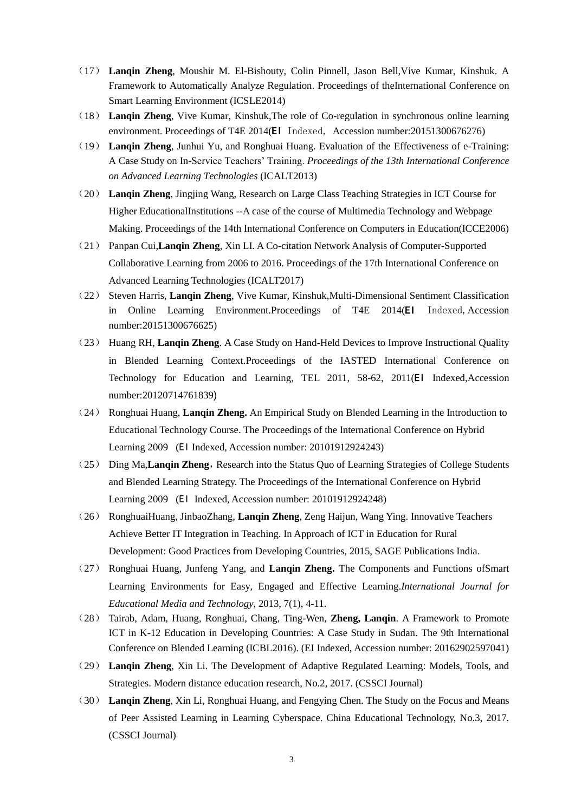- (17) **Lanqin Zheng**, Moushir M. El-Bishouty, Colin Pinnell, Jason Bell,Vive Kumar, Kinshuk. A Framework to Automatically Analyze Regulation. Proceedings of theInternational Conference on Smart Learning Environment (ICSLE2014)
- (18) **Lanqin Zheng**, Vive Kumar, Kinshuk,The role of Co-regulation in synchronous online learning environment. Proceedings of T4E 2014(EI Indexed, Accession number:20151300676276)
- (19) **Lanqin Zheng**, Junhui Yu, and Ronghuai Huang. Evaluation of the Effectiveness of e-Training: A Case Study on In-Service Teachers' Training. *Proceedings of the 13th International Conference on Advanced Learning Technologies* (ICALT2013)
- (20) **Lanqin Zheng**, Jingjing Wang, Research on Large Class Teaching Strategies in ICT Course for Higher EducationalInstitutions --A case of the course of Multimedia Technology and Webpage Making. Proceedings of the 14th International Conference on Computers in Education(ICCE2006)
- (21) Panpan Cui,**Lanqin Zheng**, Xin LI. A Co-citation Network Analysis of Computer-Supported Collaborative Learning from 2006 to 2016. Proceedings of the 17th International Conference on Advanced Learning Technologies (ICALT2017)
- (22) Steven Harris, **Lanqin Zheng**, Vive Kumar, Kinshuk,Multi-Dimensional Sentiment Classification in Online Learning Environment.Proceedings of T4E 2014(EI Indexed, Accession number:20151300676625)
- (23) Huang RH, **Lanqin Zheng**. A Case Study on Hand-Held Devices to Improve Instructional Quality in Blended Learning Context.Proceedings of the IASTED International Conference on Technology for Education and Learning, TEL 2011, 58-62, 2011(EI Indexed,Accession number:20120714761839)
- (24) Ronghuai Huang, **Lanqin Zheng.** [An Empirical Study on Blended Learning in the Introduction to](http://ksei.bnu.edu.cn:82/paper/loadPaper.do?id=334)  [Educational Technology Course.](http://ksei.bnu.edu.cn:82/paper/loadPaper.do?id=334) The Proceedings of the International Conference on Hybrid Learning 2009 (EI Indexed, Accession number: 20101912924243)
- (25) Ding Ma, Lanqin Zheng, Research into the Status Quo of Learning Strategies of College Students [and Blended Learning Strategy.](http://ksei.bnu.edu.cn:82/paper/loadPaper.do?id=335) The Proceedings of the International Conference on Hybrid Learning 2009 (EI Indexed, Accession number: 20101912924248)
- (26) RonghuaiHuang, JinbaoZhang, **Lanqin Zheng**, Zeng Haijun, Wang Ying. Innovative Teachers Achieve Better IT Integration in Teaching. In Approach of ICT in Education for Rural Development: Good Practices from Developing Countries, 2015, SAGE Publications India.
- (27) Ronghuai Huang, Junfeng Yang, and **Lanqin Zheng.** The Components and Functions ofSmart Learning Environments for Easy, Engaged and Effective Learning.*International Journal for Educational Media and Technology*, 2013, 7(1), 4-11.
- (28) Tairab, Adam, Huang, Ronghuai, Chang, Ting-Wen, **Zheng, Lanqin**. A Framework to Promote ICT in K-12 Education in Developing Countries: A Case Study in Sudan. The 9th International Conference on Blended Learning (ICBL2016). (EI Indexed, Accession number: 20162902597041)
- (29) **Lanqin Zheng**, Xin Li. The Development of Adaptive Regulated Learning: Models, Tools, and Strategies. Modern distance education research, No.2, 2017. (CSSCI Journal)
- (30) **Lanqin Zheng**, Xin Li, Ronghuai Huang, and Fengying Chen. The Study on the Focus and Means of Peer Assisted Learning in Learning Cyberspace. China Educational Technology, No.3, 2017. (CSSCI Journal)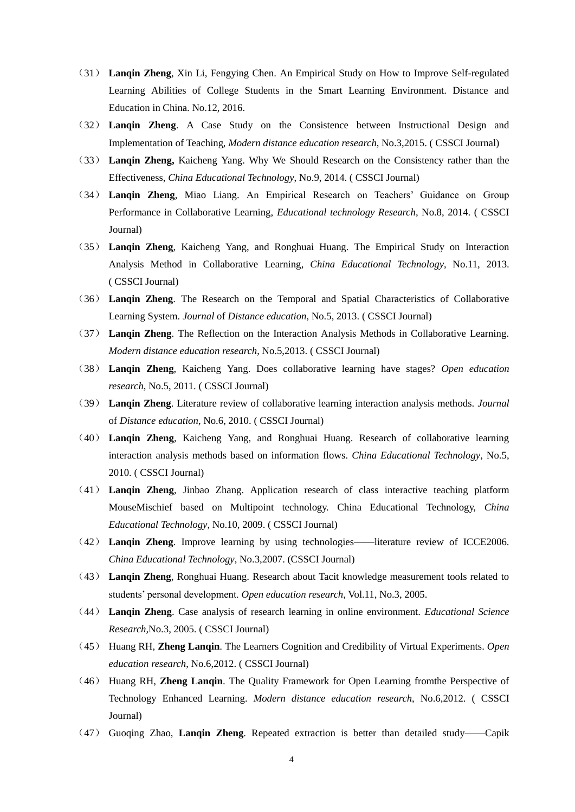- (31) **Lanqin Zheng**, Xin Li, Fengying Chen. An Empirical Study on How to Improve Self-regulated Learning Abilities of College Students in the Smart Learning Environment. Distance and Education in China. No.12, 2016.
- (32) **Lanqin Zheng**. A Case Study on the Consistence between Instructional Design and Implementation of Teaching, *Modern distance education research*, No.3,2015. ( CSSCI Journal)
- (33) **Lanqin Zheng,** Kaicheng Yang. Why We Should Research on the Consistency rather than the Effectiveness, *China Educational Technology*, No.9, 2014. ( CSSCI Journal)
- (34) **Lanqin Zheng**, Miao Liang. An Empirical Research on Teachers' Guidance on Group Performance in Collaborative Learning, *Educational technology Research*, No.8, 2014. ( CSSCI Journal)
- (35) **Lanqin Zheng**, Kaicheng Yang, and Ronghuai Huang. The Empirical Study on Interaction Analysis Method in Collaborative Learning, *China Educational Technology*, No.11, 2013. ( CSSCI Journal)
- (36) **Lanqin Zheng**. The Research on the Temporal and Spatial Characteristics of Collaborative Learning System. *Journal* of *Distance education*, No.5, 2013. ( CSSCI Journal)
- (37) **Lanqin Zheng**. The Reflection on the Interaction Analysis Methods in Collaborative Learning. *Modern distance education research*, No.5,2013. ( CSSCI Journal)
- (38) **Lanqin Zheng**, Kaicheng Yang. Does collaborative learning have stages? *Open education research*, No.5, 2011. ( CSSCI Journal)
- (39) **Lanqin Zheng**. Literature review of collaborative learning interaction analysis methods. *Journal* of *Distance education*, No.6, 2010. ( CSSCI Journal)
- (40) **Lanqin Zheng**, Kaicheng Yang, and Ronghuai Huang. Research of collaborative learning interaction analysis methods based on information flows. *China Educational Technology*, No.5, 2010. ( CSSCI Journal)
- (41) **Lanqin Zheng**, Jinbao Zhang. Application research of class interactive teaching platform MouseMischief based on Multipoint technology. China Educational Technology, *China Educational Technology*, No.10, 2009. ( CSSCI Journal)
- (42) **Lanqin Zheng**. Improve learning by using technologies——literature review of ICCE2006. *China Educational Technology*, No.3,2007. (CSSCI Journal)
- (43) **Lanqin Zheng**, Ronghuai Huang. Research about Tacit knowledge measurement tools related to students' personal development. *Open education research*, Vol.11, No.3, 2005.
- (44) **Lanqin Zheng**. Case analysis of research learning in online environment. *Educational Science Research,*No.3, 2005. ( CSSCI Journal)
- (45) Huang RH, **Zheng Lanqin**. The Learners Cognition and Credibility of Virtual Experiments. *Open education research*, No.6,2012. ( CSSCI Journal)
- (46) Huang RH, **Zheng Lanqin**. The Quality Framework for Open Learning fromthe Perspective of Technology Enhanced Learning. *Modern distance education research*, No.6,2012. ( CSSCI Journal)
- (47) Guoqing Zhao, **Lanqin Zheng**. Repeated extraction is better than detailed study——Capik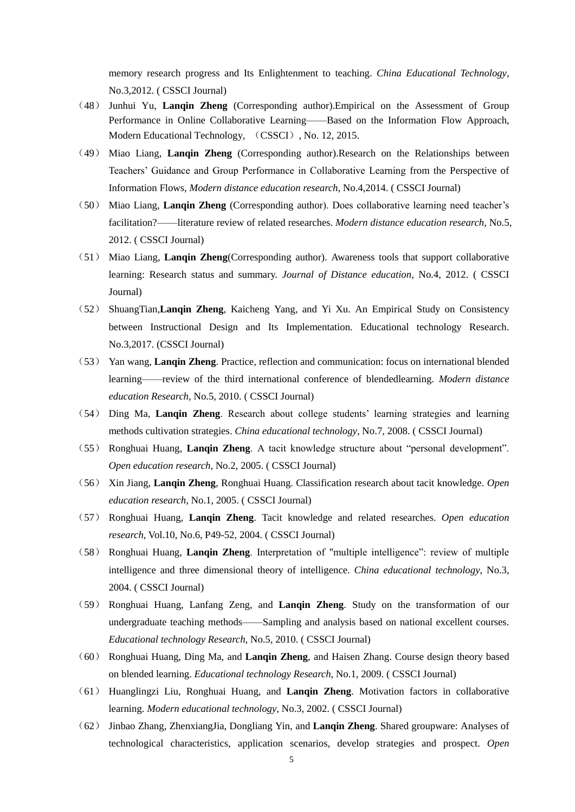memory research progress and Its Enlightenment to teaching. *China Educational Technology*, No.3,2012. ( CSSCI Journal)

- (48) Junhui Yu, **Lanqin Zheng** (Corresponding author).Empirical on the Assessment of Group Performance in Online Collaborative Learning——Based on the Information Flow Approach, Modern Educational Technology, (CSSCI), No. 12, 2015.
- (49) Miao Liang, **Lanqin Zheng** (Corresponding author).Research on the Relationships between Teachers' Guidance and Group Performance in Collaborative Learning from the Perspective of Information Flows, *Modern distance education research*, No.4,2014. ( CSSCI Journal)
- (50) Miao Liang, **Lanqin Zheng** (Corresponding author). Does collaborative learning need teacher's facilitation?——literature review of related researches. *Modern distance education research*, No.5, 2012. ( CSSCI Journal)
- (51) Miao Liang, **Lanqin Zheng**(Corresponding author). Awareness tools that support collaborative learning: Research status and summary. *Journal of Distance education*, No.4, 2012. ( CSSCI Journal)
- (52) ShuangTian,**Lanqin Zheng**, Kaicheng Yang, and Yi Xu. An Empirical Study on Consistency between Instructional Design and Its Implementation. Educational technology Research. No.3,2017. (CSSCI Journal)
- (53) Yan wang, **Lanqin Zheng**. Practice, reflection and communication: focus on international blended learning——review of the third international conference of blendedlearning. *Modern distance education Research*, No.5, 2010. ( CSSCI Journal)
- (54) Ding Ma, **Lanqin Zheng**. Research about college students' learning strategies and learning methods cultivation strategies. *China educational technology*, No.7, 2008. ( CSSCI Journal)
- (55) Ronghuai Huang, Lanqin Zheng. A tacit knowledge structure about "personal development". *Open education research*, No.2, 2005. ( CSSCI Journal)
- (56) Xin Jiang, **Lanqin Zheng**, Ronghuai Huang. Classification research about tacit knowledge. *Open education research*, No.1, 2005. ( CSSCI Journal)
- (57) Ronghuai Huang, **Lanqin Zheng**. Tacit knowledge and related researches. *Open education research*, Vol.10, No.6, P49-52, 2004. ( CSSCI Journal)
- (58) Ronghuai Huang, **Lanqin Zheng**. Interpretation of "multiple intelligence‖: review of multiple intelligence and three dimensional theory of intelligence. *China educational technology*, No.3, 2004. ( CSSCI Journal)
- (59) Ronghuai Huang, Lanfang Zeng, and **Lanqin Zheng**. Study on the transformation of our undergraduate teaching methods——Sampling and analysis based on national excellent courses. *Educational technology Research*, No.5, 2010. ( CSSCI Journal)
- (60) Ronghuai Huang, Ding Ma, and **Lanqin Zheng**, and Haisen Zhang. Course design theory based on blended learning. *Educational technology Research*, No.1, 2009. ( CSSCI Journal)
- (61) Huanglingzi Liu, Ronghuai Huang, and **Lanqin Zheng**. Motivation factors in collaborative learning. *Modern educational technology*, No.3, 2002. ( CSSCI Journal)
- (62) Jinbao Zhang, ZhenxiangJia, Dongliang Yin, and **Lanqin Zheng**. Shared groupware: Analyses of technological characteristics, application scenarios, develop strategies and prospect. *Open*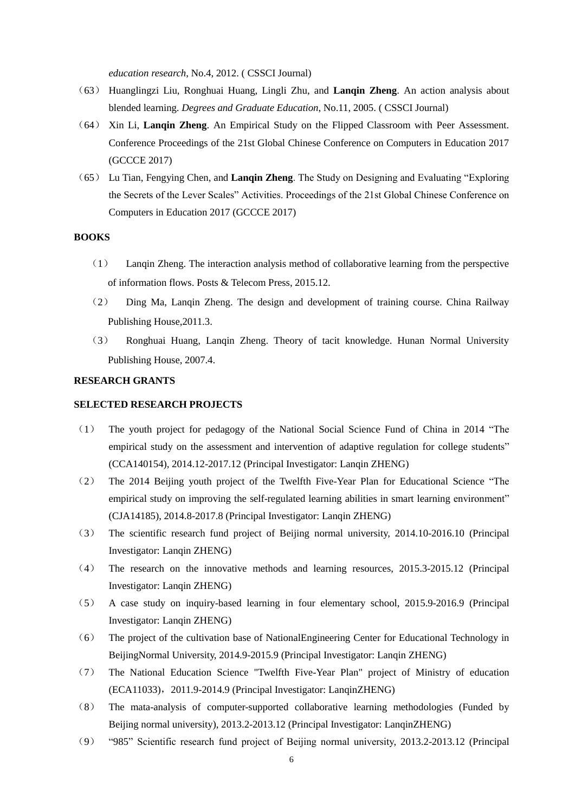*education research*, No.4, 2012. ( CSSCI Journal)

- (63) Huanglingzi Liu, Ronghuai Huang, Lingli Zhu, and **Lanqin Zheng**. An action analysis about blended learning. *Degrees and Graduate Education*, No.11, 2005. ( CSSCI Journal)
- (64) Xin Li, **Lanqin Zheng**. An Empirical Study on the Flipped Classroom with Peer Assessment. Conference Proceedings of the 21st Global Chinese Conference on Computers in Education 2017 (GCCCE 2017)
- (65) Lu Tian, Fengying Chen, and Langin Zheng. The Study on Designing and Evaluating "Exploring" the Secrets of the Lever Scales" Activities. Proceedings of the 21st Global Chinese Conference on Computers in Education 2017 (GCCCE 2017)

### **BOOKS**

- (1) Lanqin Zheng. The interaction analysis method of collaborative learning from the perspective of information flows. Posts & Telecom Press, 2015.12.
- (2) Ding Ma, Lanqin Zheng. The design and development of training course. China Railway Publishing House,2011.3.
- (3) Ronghuai Huang, Lanqin Zheng. Theory of tacit knowledge. Hunan Normal University Publishing House, 2007.4.

#### **RESEARCH GRANTS**

### **SELECTED RESEARCH PROJECTS**

- (1) The youth project for pedagogy of the National Social Science Fund of China in 2014 "The empirical study on the assessment and intervention of adaptive regulation for college students" (CCA140154), 2014.12-2017.12 (Principal Investigator: Lanqin ZHENG)
- (2) The 2014 Beijing youth project of the Twelfth Five-Year Plan for Educational Science "The empirical study on improving the self-regulated learning abilities in smart learning environment" (CJA14185), 2014.8-2017.8 (Principal Investigator: Lanqin ZHENG)
- (3) The scientific research fund project of Beijing normal university, 2014.10-2016.10 (Principal Investigator: Lanqin ZHENG)
- (4) The research on the innovative methods and learning resources, 2015.3-2015.12 (Principal Investigator: Lanqin ZHENG)
- (5) A case study on inquiry-based learning in four elementary school, 2015.9-2016.9 (Principal Investigator: Lanqin ZHENG)
- (6) The project of the cultivation base of NationalEngineering Center for Educational Technology in BeijingNormal University, 2014.9-2015.9 (Principal Investigator: Lanqin ZHENG)
- (7) The National Education Science "Twelfth Five-Year Plan" project of Ministry of education (ECA11033),2011.9-2014.9 (Principal Investigator: LanqinZHENG)
- (8) The mata-analysis of computer-supported collaborative learning methodologies (Funded by Beijing normal university), 2013.2-2013.12 (Principal Investigator: LanqinZHENG)
- (9) ―985‖ Scientific research fund project of Beijing normal university, 2013.2-2013.12 (Principal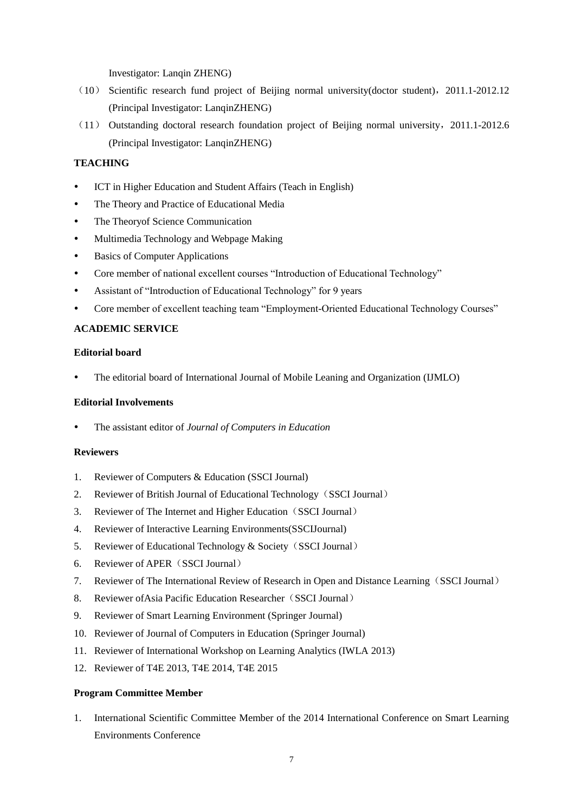Investigator: Lanqin ZHENG)

- (10) Scientific research fund project of Beijing normal university(doctor student),2011.1-2012.12 (Principal Investigator: LanqinZHENG)
- (11) Outstanding doctoral research foundation project of Beijing normal university,2011.1-2012.6 (Principal Investigator: LanqinZHENG)

## **TEACHING**

- ICT in Higher Education and Student Affairs (Teach in English)
- The Theory and Practice of Educational Media
- The Theoryof Science Communication
- Multimedia Technology and Webpage Making
- Basics of Computer Applications
- Core member of national excellent courses "Introduction of Educational Technology"
- Assistant of "Introduction of Educational Technology" for 9 years
- Core member of excellent teaching team "Employment-Oriented Educational Technology Courses"

### **ACADEMIC SERVICE**

### **Editorial board**

The editorial board of International Journal of Mobile Leaning and Organization (IJMLO)

### **Editorial Involvements**

The assistant editor of *Journal of Computers in Education*

### **Reviewers**

- 1. Reviewer of Computers & Education (SSCI Journal)
- 2. Reviewer of British Journal of Educational Technology (SSCI Journal)
- 3. Reviewer of The Internet and Higher Education (SSCI Journal)
- 4. Reviewer of Interactive Learning Environments(SSCIJournal)
- 5. Reviewer of Educational Technology & Society(SSCI Journal)
- 6. Reviewer of APER(SSCI Journal)
- 7. Reviewer of The International Review of Research in Open and Distance Learning(SSCI Journal)
- 8. Reviewer of Asia Pacific Education Researcher (SSCI Journal)
- 9. Reviewer of Smart Learning Environment (Springer Journal)
- 10. Reviewer of Journal of Computers in Education (Springer Journal)
- 11. Reviewer of International Workshop on Learning Analytics (IWLA 2013)
- 12. Reviewer of T4E 2013, T4E 2014, T4E 2015

### **[Program Committee Member](file:///C:\Users\lenovo\Downloads\ZLQpage\English\EAcademicService-program.html)**

1. International Scientific Committee Member of the 2014 International Conference on Smart Learning Environments Conference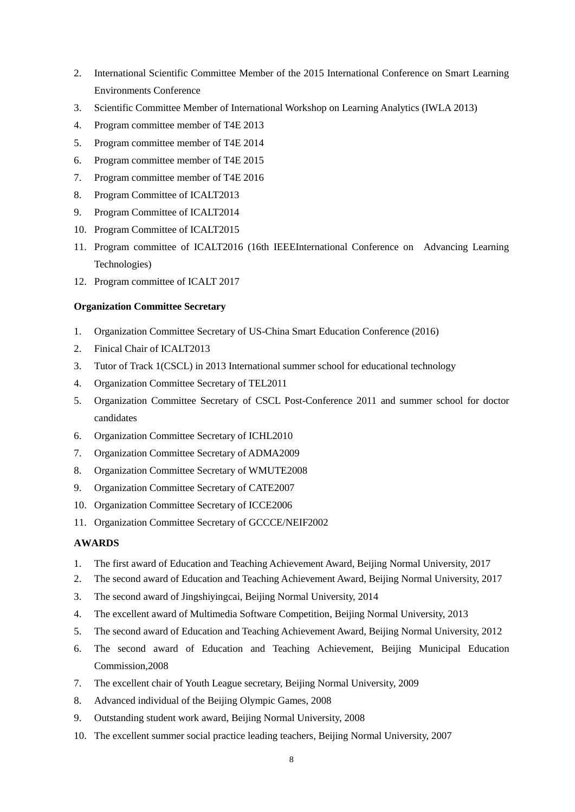- 2. International Scientific Committee Member of the 2015 International Conference on Smart Learning Environments Conference
- 3. Scientific Committee Member of International Workshop on Learning Analytics (IWLA 2013)
- 4. Program committee member of T4E 2013
- 5. Program committee member of T4E 2014
- 6. Program committee member of T4E 2015
- 7. Program committee member of T4E 2016
- 8. Program Committee of ICALT2013
- 9. Program Committee of ICALT2014
- 10. Program Committee of ICALT2015
- 11. Program committee of ICALT2016 (16th IEEEInternational Conference on Advancing Learning Technologies)
- 12. Program committee of ICALT 2017

### **Organization Committee Secretary**

- 1. Organization Committee Secretary of US-China Smart Education Conference (2016)
- 2. Finical Chair of ICALT2013
- 3. Tutor of Track 1(CSCL) in 2013 International summer school for educational technology
- 4. Organization Committee Secretary of TEL2011
- 5. Organization Committee Secretary of CSCL Post-Conference 2011 and summer school for doctor candidates
- 6. Organization Committee Secretary of ICHL2010
- 7. Organization Committee Secretary of ADMA2009
- 8. Organization Committee Secretary of WMUTE2008
- 9. Organization Committee Secretary of CATE2007
- 10. Organization Committee Secretary of ICCE2006
- 11. Organization Committee Secretary of GCCCE/NEIF2002

### **AWARDS**

- 1. The first award of Education and Teaching Achievement Award, Beijing Normal University, 2017
- 2. The second award of Education and Teaching Achievement Award, Beijing Normal University, 2017
- 3. The second award of Jingshiyingcai, Beijing Normal University, 2014
- 4. The excellent award of Multimedia Software Competition, Beijing Normal University, 2013
- 5. The second award of Education and Teaching Achievement Award, Beijing Normal University, 2012
- 6. The second award of Education and Teaching Achievement, Beijing Municipal Education Commission,2008
- 7. The excellent chair of Youth League secretary, Beijing Normal University, 2009
- 8. Advanced individual of the Beijing Olympic Games, 2008
- 9. Outstanding student work award, Beijing Normal University, 2008
- 10. The excellent summer social practice leading teachers, Beijing Normal University, 2007